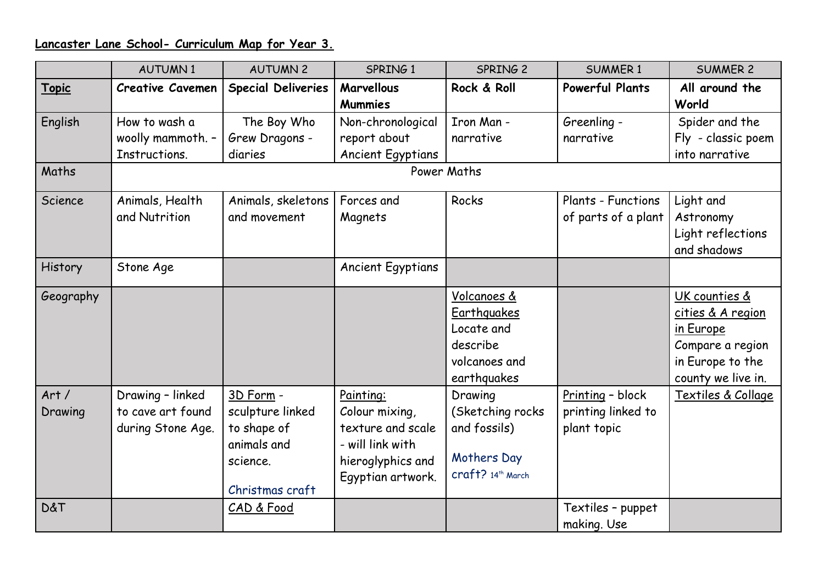## **Lancaster Lane School- Curriculum Map for Year 3.**

|                | <b>AUTUMN1</b>          | <b>AUTUMN 2</b>           | SPRING 1                 | SPRING 2           | <b>SUMMER 1</b>        | <b>SUMMER 2</b>                |  |  |  |
|----------------|-------------------------|---------------------------|--------------------------|--------------------|------------------------|--------------------------------|--|--|--|
| <b>Topic</b>   | <b>Creative Cavemen</b> | <b>Special Deliveries</b> | Marvellous               | Rock & Roll        | <b>Powerful Plants</b> | All around the                 |  |  |  |
|                |                         |                           | <b>Mummies</b>           |                    |                        | World                          |  |  |  |
| English        | How to wash a           | The Boy Who               | Non-chronological        | Iron Man -         | Greenling -            | Spider and the                 |  |  |  |
|                | woolly mammoth. -       | Grew Dragons -            | report about             | narrative          | narrative              | Fly - classic poem             |  |  |  |
|                | Instructions.           | diaries                   | <b>Ancient Egyptians</b> |                    |                        | into narrative                 |  |  |  |
| Maths          | Power Maths             |                           |                          |                    |                        |                                |  |  |  |
| Science        | Animals, Health         | Animals, skeletons        | Forces and               | Rocks              | Plants - Functions     | Light and                      |  |  |  |
|                | and Nutrition           | and movement              | Magnets                  |                    | of parts of a plant    | Astronomy                      |  |  |  |
|                |                         |                           |                          |                    |                        | Light reflections              |  |  |  |
|                |                         |                           |                          |                    |                        | and shadows                    |  |  |  |
| History        | Stone Age               |                           | Ancient Egyptians        |                    |                        |                                |  |  |  |
| Geography      |                         |                           |                          | Volcanoes &        |                        | UK counties &                  |  |  |  |
|                |                         |                           |                          | <b>Earthquakes</b> |                        | <u>cities &amp; A region</u>   |  |  |  |
|                |                         |                           |                          | Locate and         |                        | in Europe                      |  |  |  |
|                |                         |                           |                          | describe           |                        | Compare a region               |  |  |  |
|                |                         |                           |                          | volcanoes and      |                        | in Europe to the               |  |  |  |
|                |                         |                           |                          | earthquakes        |                        | county we live in.             |  |  |  |
| Art/           | Drawing - linked        | 3D Form -                 | Painting:                | Drawing            | Printing - block       | <u> Textiles &amp; Collage</u> |  |  |  |
| Drawing        | to cave art found       | sculpture linked          | Colour mixing,           | (Sketching rocks   | printing linked to     |                                |  |  |  |
|                | during Stone Age.       | to shape of               | texture and scale        | and fossils)       | plant topic            |                                |  |  |  |
|                |                         | animals and               | - will link with         |                    |                        |                                |  |  |  |
|                |                         | science.                  | hieroglyphics and        | Mothers Day        |                        |                                |  |  |  |
|                |                         |                           | Egyptian artwork.        | craft? 14th March  |                        |                                |  |  |  |
|                |                         | Christmas craft           |                          |                    |                        |                                |  |  |  |
| <b>D&amp;T</b> |                         | CAD & Food                |                          |                    | Textiles - puppet      |                                |  |  |  |
|                |                         |                           |                          |                    | making. Use            |                                |  |  |  |